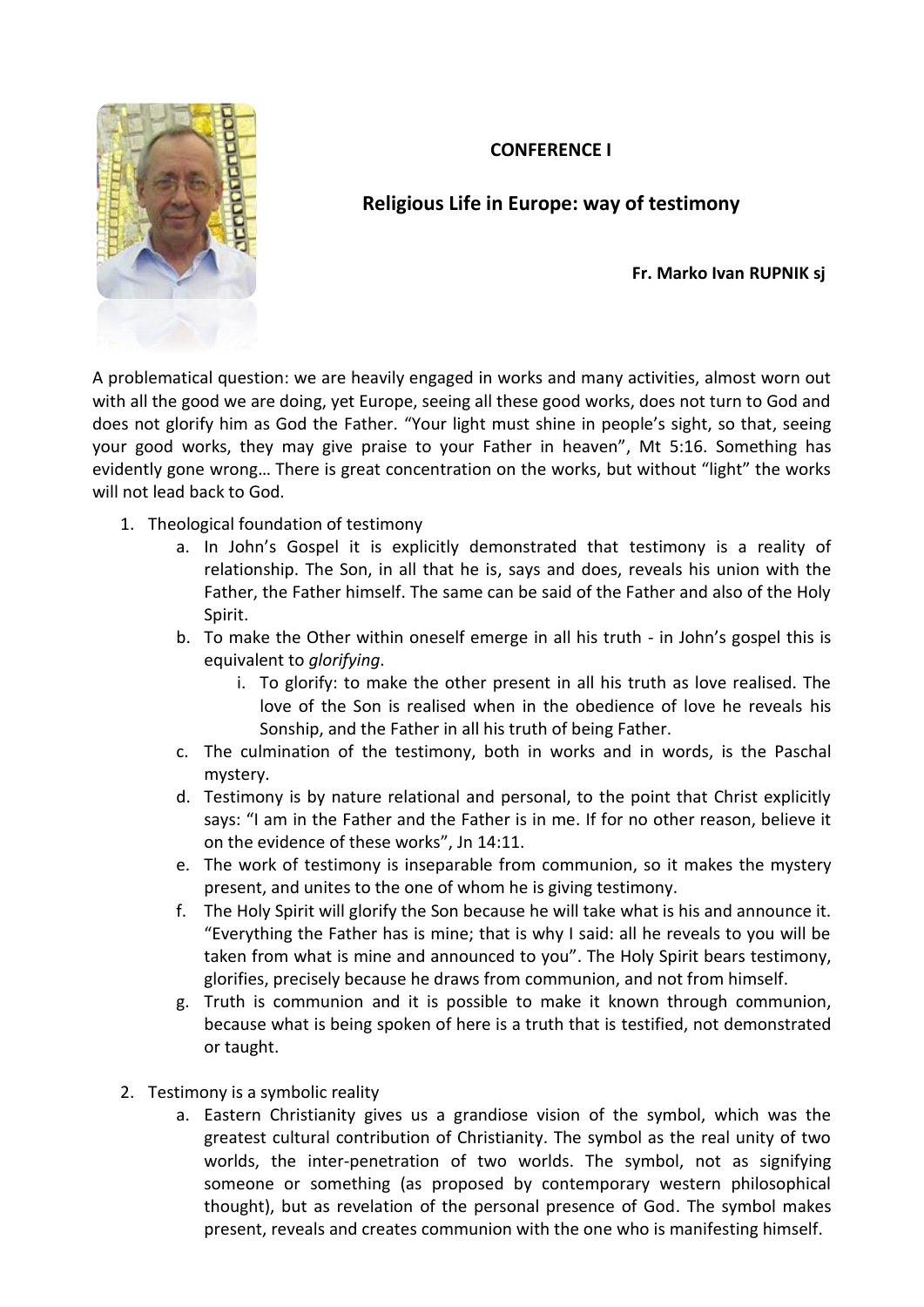## **CONFERENCE I**



## **Religious Life in Europe: way of testimony**

**Fr. Marko Ivan RUPNIK sj**

A problematical question: we are heavily engaged in works and many activities, almost worn out with all the good we are doing, yet Europe, seeing all these good works, does not turn to God and does not glorify him as God the Father. "Your light must shine in people's sight, so that, seeing your good works, they may give praise to your Father in heaven", Mt 5:16. Something has evidently gone wrong… There is great concentration on the works, but without "light" the works will not lead back to God.

- 1. Theological foundation of testimony
	- a. In John's Gospel it is explicitly demonstrated that testimony is a reality of relationship. The Son, in all that he is, says and does, reveals his union with the Father, the Father himself. The same can be said of the Father and also of the Holy Spirit.
	- b. To make the Other within oneself emerge in all his truth in John's gospel this is equivalent to *glorifying*.
		- i. To glorify: to make the other present in all his truth as love realised. The love of the Son is realised when in the obedience of love he reveals his Sonship, and the Father in all his truth of being Father.
	- c. The culmination of the testimony, both in works and in words, is the Paschal mystery.
	- d. Testimony is by nature relational and personal, to the point that Christ explicitly says: "I am in the Father and the Father is in me. If for no other reason, believe it on the evidence of these works", Jn 14:11.
	- e. The work of testimony is inseparable from communion, so it makes the mystery present, and unites to the one of whom he is giving testimony.
	- f. The Holy Spirit will glorify the Son because he will take what is his and announce it. "Everything the Father has is mine; that is why I said: all he reveals to you will be taken from what is mine and announced to you". The Holy Spirit bears testimony, glorifies, precisely because he draws from communion, and not from himself.
	- g. Truth is communion and it is possible to make it known through communion, because what is being spoken of here is a truth that is testified, not demonstrated or taught.
- 2. Testimony is a symbolic reality
	- a. Eastern Christianity gives us a grandiose vision of the symbol, which was the greatest cultural contribution of Christianity. The symbol as the real unity of two worlds, the inter-penetration of two worlds. The symbol, not as signifying someone or something (as proposed by contemporary western philosophical thought), but as revelation of the personal presence of God. The symbol makes present, reveals and creates communion with the one who is manifesting himself.